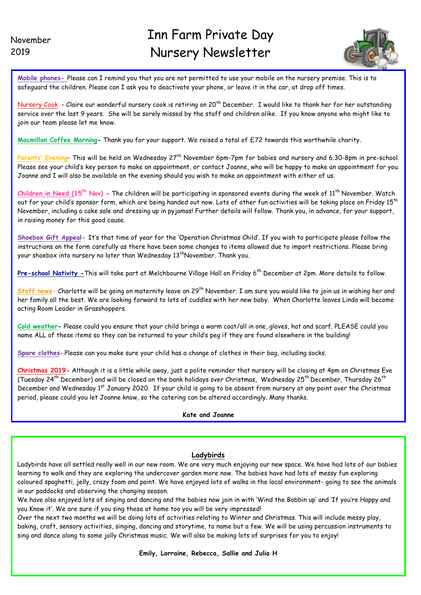I



**Mobile phones-** Please can I remind you that you are not permitted to use your mobile on the nursery premise. This is to safeguard the children. Please can I ask you to deactivate your phone, or leave it in the car, at drop off times.

Nursery Cook - Claire our wonderful nursery cook is retiring on 20<sup>th</sup> December. I would like to thank her for her outstanding service over the last 9 years. She will be sorely missed by the staff and children alike. If you know anyone who might like to join our team please let me know.

**Macmillan Coffee Morning-** Thank you for your support. We raised a total of £72 towards this worthwhile charity.

Parents' Evening- This will be held on Wednesday 27<sup>th</sup> November 6pm-7pm for babies and nursery and 6.30-8pm in pre-school. Please see your child's key person to make an appointment, or contact Joanne, who will be happy to make an appointment for you. Joanne and I will also be available on the evening should you wish to make an appointment with either of us.

**Children in Need (15th Nov) -** The children will be participating in sponsored events during the week of 11th November. Watch out for your child's sponsor form, which are being handed out now. Lots of other fun activities will be taking place on Friday 15<sup>th</sup> November, including a cake sale and dressing up in pyjamas! Further details will follow. Thank you, in advance, for your support, in raising money for this good cause.

**Shoebox Gift Appeal-** It's that time of year for the 'Operation Christmas Child'. If you wish to participate please follow the instructions on the form carefully as there have been some changes to items allowed due to import restrictions. Please bring your shoebox into nursery no later than Wednesday 13<sup>th</sup>November. Thank you.

Pre-school Nativity - This will take part at Melchbourne Village Hall on Friday 6<sup>th</sup> December at 2pm. More details to follow.

**Staff news-** Charlotte will be going on maternity leave on 29th November. I am sure you would like to join us in wishing her and her family all the best. We are looking forward to lots of cuddles with her new baby. When Charlotte leaves Linda will become acting Room Leader in Grasshoppers.

**Cold weather-** Please could you ensure that your child brings a warm coat/all in one, gloves, hat and scarf. PLEASE could you name ALL of these items so they can be returned to your child's peg if they are found elsewhere in the building!

**Spare clothes**- Please can you make sure your child has a change of clothes in their bag, including socks.

**Christmas 2019-** Although it is a little while away, just a polite reminder that nursery will be closing at 4pm on Christmas Eve (Tuesday 24<sup>th</sup> December) and will be closed on the bank holidays over Christmas, Wednesday 25<sup>th</sup> December, Thursday 26<sup>th</sup> December and Wednesday 1<sup>st</sup> January 2020. If your child is going to be absent from nursery at any point over the Christmas period, please could you let Joanne know, so the catering can be altered accordingly. Many thanks.

## **Kate and Joanne**

# **Ladybirds**

 Ladybirds have all settled really well in our new room. We are very much enjoying our new space. We have had lots of our babies learning to walk and they are exploring the undercover garden more now. The babies have had lots of messy fun exploring coloured spaghetti, jelly, crazy foam and paint. We have enjoyed lots of walks in the local environment- going to see the animals in our paddocks and observing the changing season.

We have also enjoyed lots of singing and dancing and the babies now join in with 'Wind the Bobbin up' and 'If you're Happy and you Know it'. We are sure if you sing these at home too you will be very impressed!

Over the next two months we will be doing lots of activities relating to Winter and Christmas. This will include messy play, baking, craft, sensory activities, singing, dancing and storytime, to name but a few. We will be using percussion instruments to sing and dance along to some jolly Christmas music. We will also be making lots of surprises for you to enjoy!

**Emily, Lorraine, Rebecca, Sallie and Julia H**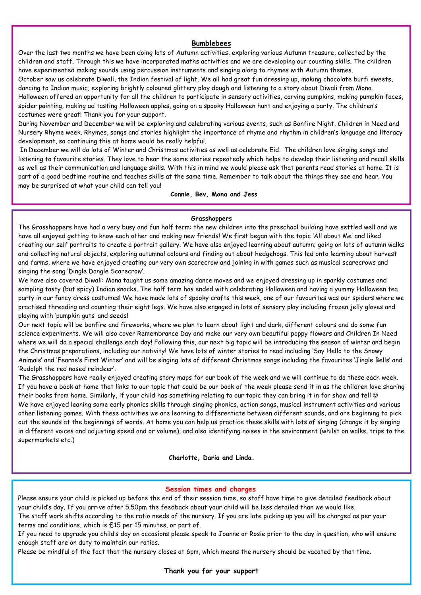# **Bumblebees**

Over the last two months we have been doing lots of Autumn activities, exploring various Autumn treasure, collected by the children and staff. Through this we have incorporated maths activities and we are developing our counting skills. The children have experimented making sounds using percussion instruments and singing along to rhymes with Autumn themes. October saw us celebrate Diwali, the Indian festival of light. We all had great fun dressing up, making chocolate burfi sweets, dancing to Indian music, exploring brightly coloured glittery play dough and listening to a story about Diwali from Mona. Halloween offered an opportunity for all the children to participate in sensory activities, carving pumpkins, making pumpkin faces, spider painting, making ad tasting Halloween apples, going on a spooky Halloween hunt and enjoying a party. The children's costumes were great! Thank you for your support.

During November and December we will be exploring and celebrating various events, such as Bonfire Night, Children in Need and Nursery Rhyme week. Rhymes, songs and stories highlight the importance of rhyme and rhythm in children's language and literacy development, so continuing this at home would be really helpful.

In December we will do lots of Winter and Christmas activities as well as celebrate Eid. The children love singing songs and listening to favourite stories. They love to hear the same stories repeatedly which helps to develop their listening and recall skills as well as their communication and language skills. With this in mind we would please ask that parents read stories at home. It is part of a good bedtime routine and teaches skills at the same time. Remember to talk about the things they see and hear. You may be surprised at what your child can tell you!

### **Connie, Bev, Mona and Jess**

#### **Grasshoppers**

The Grasshoppers have had a very busy and fun half term: the new children into the preschool building have settled well and we have all enjoyed getting to know each other and making new friends! We first began with the topic 'All about Me' and liked creating our self portraits to create a portrait gallery. We have also enjoyed learning about autumn; going on lots of autumn walks and collecting natural objects, exploring autumnal colours and finding out about hedgehogs. This led onto learning about harvest and farms, where we have enjoyed creating our very own scarecrow and joining in with games such as musical scarecrows and singing the song 'Dingle Dangle Scarecrow'.

We have also covered Diwali: Mona taught us some amazing dance moves and we enjoyed dressing up in sparkly costumes and sampling tasty (but spicy) Indian snacks. The half term has ended with celebrating Halloween and having a yummy Halloween tea party in our fancy dress costumes! We have made lots of spooky crafts this week, one of our favourites was our spiders where we practised threading and counting their eight legs. We have also engaged in lots of sensory play including frozen jelly gloves and playing with 'pumpkin guts' and seeds!

Our next topic will be bonfire and fireworks, where we plan to learn about light and dark, different colours and do some fun science experiments. We will also cover Remembrance Day and make our very own beautiful poppy flowers and Children In Need where we will do a special challenge each day! Following this, our next big topic will be introducing the season of winter and begin the Christmas preparations, including our nativity! We have lots of winter stories to read including 'Say Hello to the Snowy Animals' and 'Fearne's First Winter' and will be singing lots of different Christmas songs including the favourites 'Jingle Bells' and 'Rudolph the red nosed reindeer'.

The Grasshoppers have really enjoyed creating story maps for our book of the week and we will continue to do these each week. If you have a book at home that links to our topic that could be our book of the week please send it in as the children love sharing their books from home. Similarly, if your child has something relating to our topic they can bring it in for show and tell ☺ We have enjoyed leaning some early phonics skills through singing phonics, action songs, musical instrument activities and various other listening games. With these activities we are learning to differentiate between different sounds, and are beginning to pick out the sounds at the beginnings of words. At home you can help us practice these skills with lots of singing (change it by singing in different voices and adjusting speed and or volume), and also identifying noises in the environment (whilst on walks, trips to the supermarkets etc.)

**Charlotte, Daria and Linda.**

### **Session times and charges**

Please ensure your child is picked up before the end of their session time, so staff have time to give detailed feedback about your child's day. If you arrive after 5.50pm the feedback about your child will be less detailed than we would like.

The staff work shifts according to the ratio needs of the nursery. If you are late picking up you will be charged as per your terms and conditions, which is £15 per 15 minutes, or part of.

If you need to upgrade you child's day on occasions please speak to Joanne or Rosie prior to the day in question, who will ensure enough staff are on duty to maintain our ratios.

Please be mindful of the fact that the nursery closes at 6pm, which means the nursery should be vacated by that time.

**Thank you for your support**